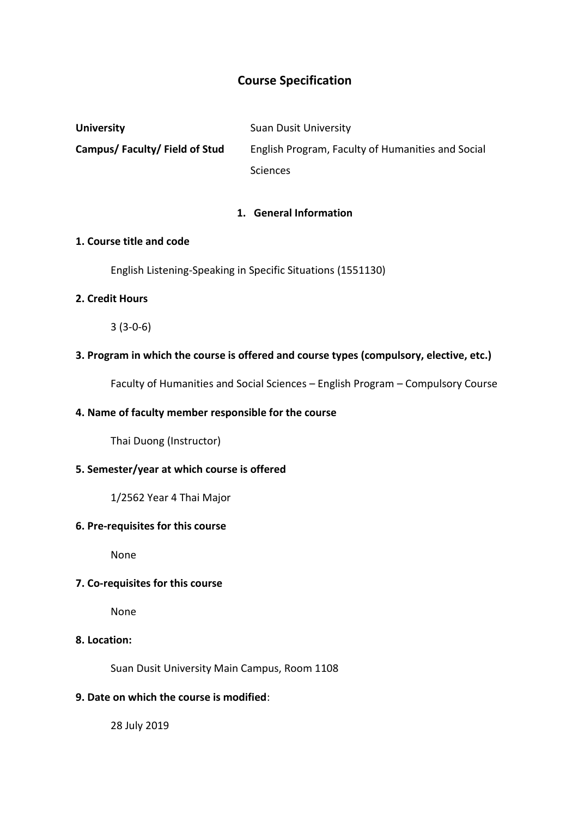# **Course Specification**

| <b>University</b>            | <b>Suan Dusit University</b>                      |
|------------------------------|---------------------------------------------------|
| Campus/Faculty/Field of Stud | English Program, Faculty of Humanities and Social |
|                              | <b>Sciences</b>                                   |

#### **1. General Information**

### **1. Course title and code**

English Listening-Speaking in Specific Situations (1551130)

### **2. Credit Hours**

3 (3-0-6)

# **3. Program in which the course is offered and course types (compulsory, elective, etc.)**

Faculty of Humanities and Social Sciences – English Program – Compulsory Course

### **4. Name of faculty member responsible for the course**

Thai Duong (Instructor)

# **5. Semester/year at which course is offered**

1/2562 Year 4 Thai Major

#### **6. Pre-requisites for this course**

None

#### **7. Co-requisites for this course**

None

# **8. Location:**

Suan Dusit University Main Campus, Room 1108

# **9. Date on which the course is modified**:

28 July 2019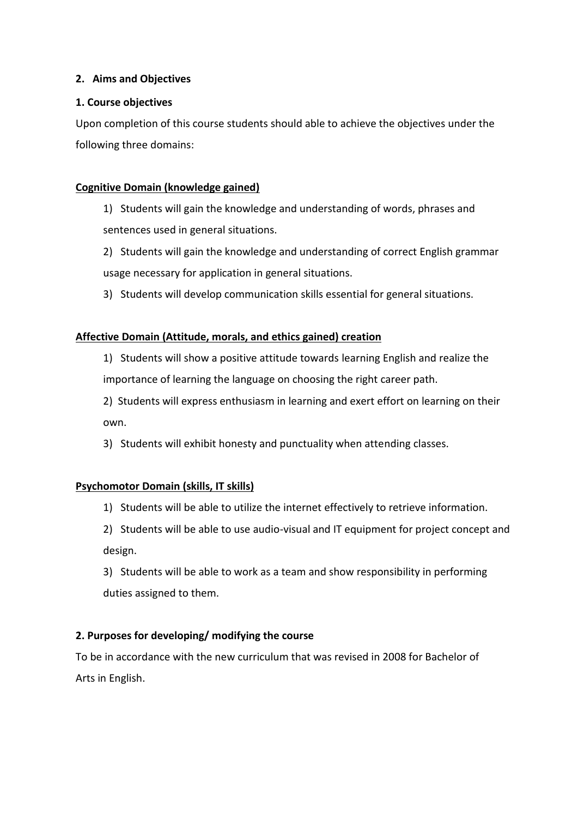# **2. Aims and Objectives**

### **1. Course objectives**

Upon completion of this course students should able to achieve the objectives under the following three domains:

### **Cognitive Domain (knowledge gained)**

- 1) Students will gain the knowledge and understanding of words, phrases and sentences used in general situations.
- 2) Students will gain the knowledge and understanding of correct English grammar usage necessary for application in general situations.
- 3) Students will develop communication skills essential for general situations.

### **Affective Domain (Attitude, morals, and ethics gained) creation**

1) Students will show a positive attitude towards learning English and realize the importance of learning the language on choosing the right career path.

2) Students will express enthusiasm in learning and exert effort on learning on their own.

3) Students will exhibit honesty and punctuality when attending classes.

# **Psychomotor Domain (skills, IT skills)**

1) Students will be able to utilize the internet effectively to retrieve information.

2) Students will be able to use audio-visual and IT equipment for project concept and design.

3) Students will be able to work as a team and show responsibility in performing duties assigned to them.

# **2. Purposes for developing/ modifying the course**

To be in accordance with the new curriculum that was revised in 2008 for Bachelor of Arts in English.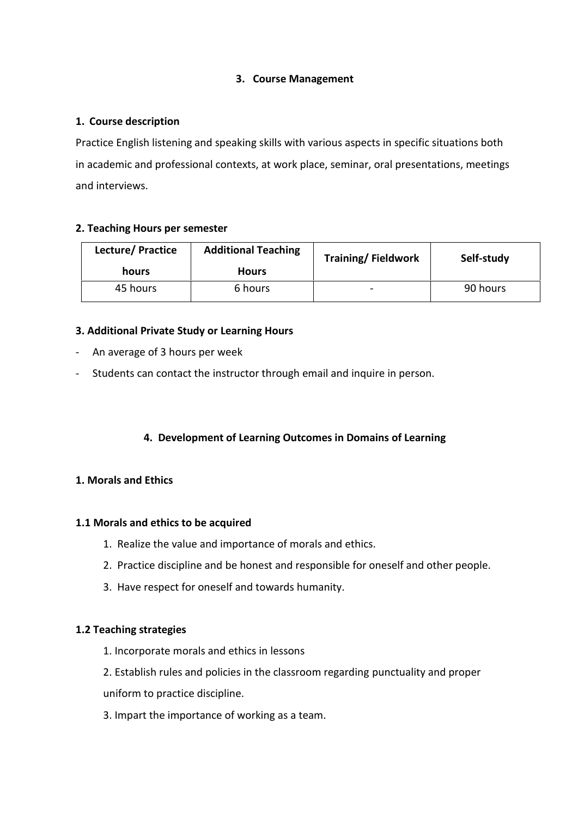# **3. Course Management**

### **1. Course description**

Practice English listening and speaking skills with various aspects in specific situations both in academic and professional contexts, at work place, seminar, oral presentations, meetings and interviews.

### **2. Teaching Hours per semester**

| Lecture/Practice | <b>Additional Teaching</b> | <b>Training/Fieldwork</b> | Self-study |
|------------------|----------------------------|---------------------------|------------|
| hours            | <b>Hours</b>               |                           |            |
| 45 hours         | 6 hours                    | -                         | 90 hours   |

# **3. Additional Private Study or Learning Hours**

- An average of 3 hours per week
- Students can contact the instructor through email and inquire in person.

# **4. Development of Learning Outcomes in Domains of Learning**

# **1. Morals and Ethics**

#### **1.1 Morals and ethics to be acquired**

- 1. Realize the value and importance of morals and ethics.
- 2. Practice discipline and be honest and responsible for oneself and other people.
- 3. Have respect for oneself and towards humanity.

#### **1.2 Teaching strategies**

- 1. Incorporate morals and ethics in lessons
- 2. Establish rules and policies in the classroom regarding punctuality and proper uniform to practice discipline.
- 3. Impart the importance of working as a team.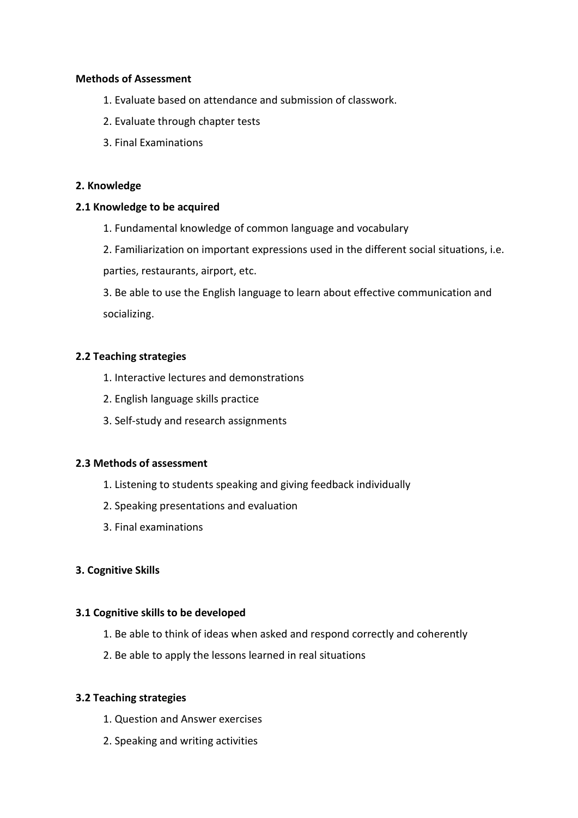#### **Methods of Assessment**

- 1. Evaluate based on attendance and submission of classwork.
- 2. Evaluate through chapter tests
- 3. Final Examinations

#### **2. Knowledge**

#### **2.1 Knowledge to be acquired**

1. Fundamental knowledge of common language and vocabulary

2. Familiarization on important expressions used in the different social situations, i.e.

parties, restaurants, airport, etc.

3. Be able to use the English language to learn about effective communication and socializing.

### **2.2 Teaching strategies**

- 1. Interactive lectures and demonstrations
- 2. English language skills practice
- 3. Self-study and research assignments

### **2.3 Methods of assessment**

- 1. Listening to students speaking and giving feedback individually
- 2. Speaking presentations and evaluation
- 3. Final examinations

# **3. Cognitive Skills**

#### **3.1 Cognitive skills to be developed**

- 1. Be able to think of ideas when asked and respond correctly and coherently
- 2. Be able to apply the lessons learned in real situations

#### **3.2 Teaching strategies**

- 1. Question and Answer exercises
- 2. Speaking and writing activities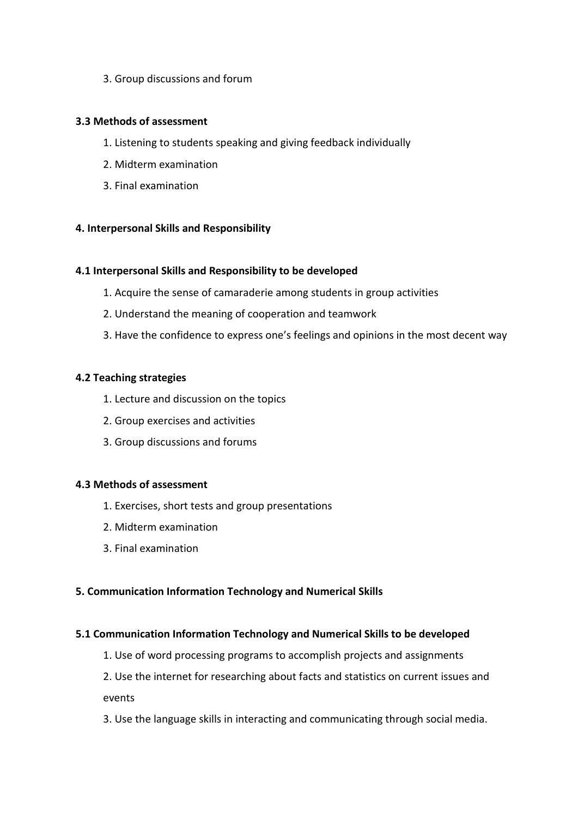3. Group discussions and forum

### **3.3 Methods of assessment**

- 1. Listening to students speaking and giving feedback individually
- 2. Midterm examination
- 3. Final examination

### **4. Interpersonal Skills and Responsibility**

#### **4.1 Interpersonal Skills and Responsibility to be developed**

- 1. Acquire the sense of camaraderie among students in group activities
- 2. Understand the meaning of cooperation and teamwork
- 3. Have the confidence to express one's feelings and opinions in the most decent way

### **4.2 Teaching strategies**

- 1. Lecture and discussion on the topics
- 2. Group exercises and activities
- 3. Group discussions and forums

#### **4.3 Methods of assessment**

- 1. Exercises, short tests and group presentations
- 2. Midterm examination
- 3. Final examination

#### **5. Communication Information Technology and Numerical Skills**

#### **5.1 Communication Information Technology and Numerical Skills to be developed**

- 1. Use of word processing programs to accomplish projects and assignments
- 2. Use the internet for researching about facts and statistics on current issues and events
- 3. Use the language skills in interacting and communicating through social media.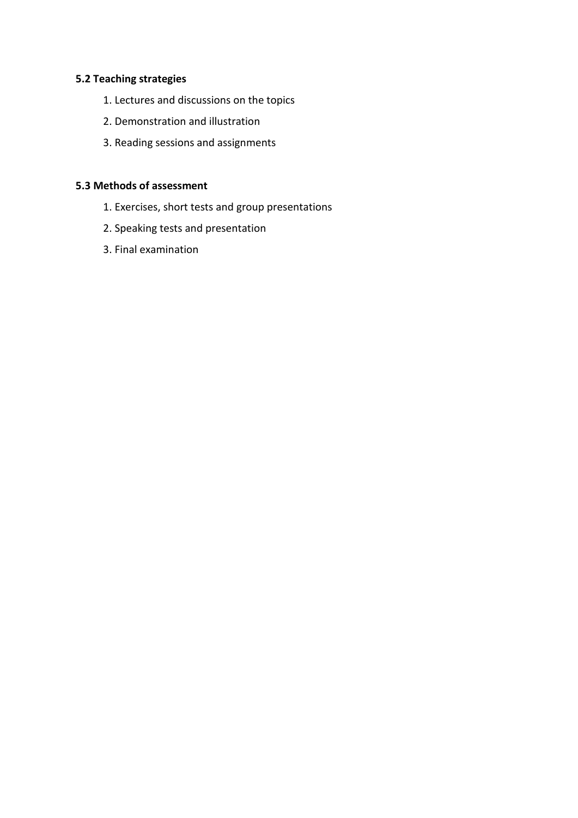# **5.2 Teaching strategies**

- 1. Lectures and discussions on the topics
- 2. Demonstration and illustration
- 3. Reading sessions and assignments

# **5.3 Methods of assessment**

- 1. Exercises, short tests and group presentations
- 2. Speaking tests and presentation
- 3. Final examination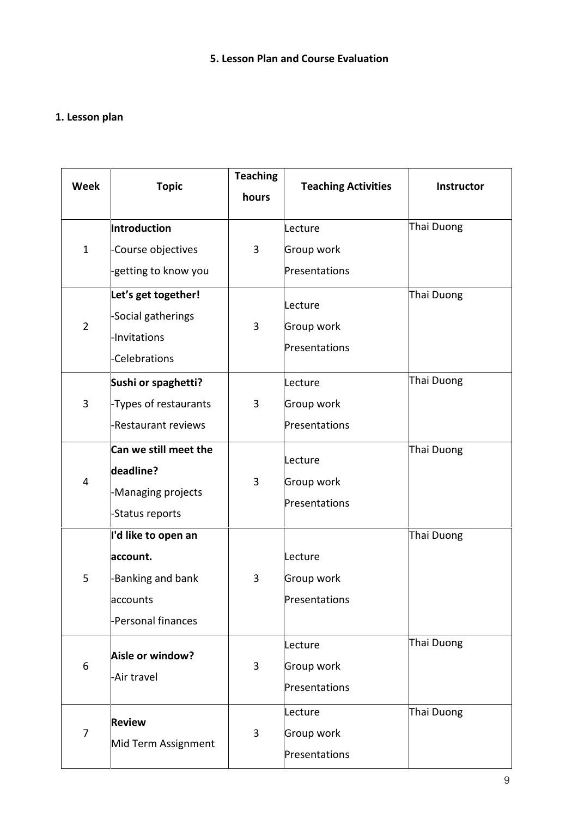# **5. Lesson Plan and Course Evaluation**

# **1. Lesson plan**

| <b>Week</b>    | <b>Topic</b>                                                                          | <b>Teaching</b><br>hours | <b>Teaching Activities</b>             | Instructor |
|----------------|---------------------------------------------------------------------------------------|--------------------------|----------------------------------------|------------|
| $\mathbf{1}$   | Introduction<br>Course objectives<br>-getting to know you                             | 3                        | Lecture<br>Group work<br>Presentations | Thai Duong |
| $\overline{2}$ | Let's get together!<br>-Social gatherings<br>-Invitations<br><b>Celebrations</b>      | 3                        | Lecture<br>Group work<br>Presentations | Thai Duong |
| 3              | Sushi or spaghetti?<br>-Types of restaurants<br>Restaurant reviews                    | 3                        | Lecture<br>Group work<br>Presentations | Thai Duong |
| 4              | Can we still meet the<br>deadline?<br>-Managing projects<br>-Status reports           | 3                        | Lecture<br>Group work<br>Presentations | Thai Duong |
| 5              | I'd like to open an<br>account.<br>Banking and bank<br>accounts<br>-Personal finances | 3                        | Lecture<br>Group work<br>Presentations | Thai Duong |
| 6              | Aisle or window?<br>-Air travel                                                       | 3                        | Lecture<br>Group work<br>Presentations | Thai Duong |
| 7              | <b>Review</b><br>Mid Term Assignment                                                  | 3                        | Lecture<br>Group work<br>Presentations | Thai Duong |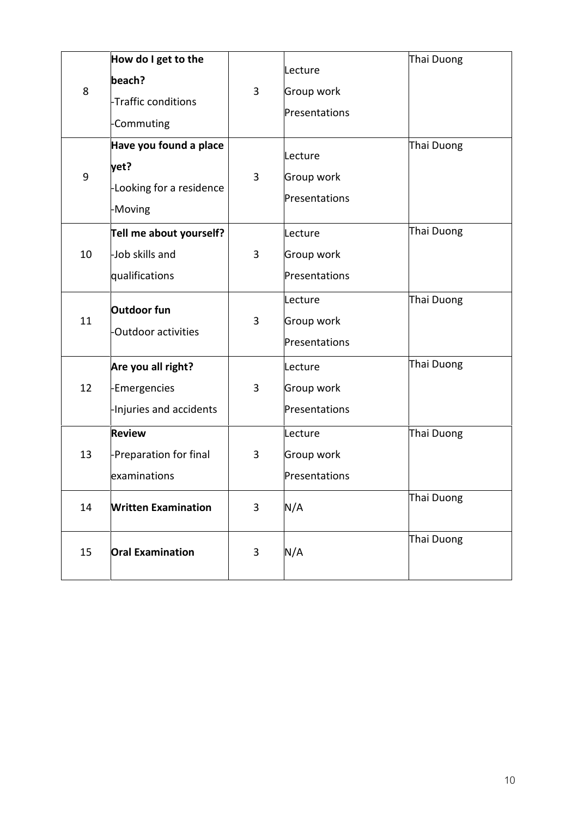| 8<br>9 | How do I get to the<br>beach?<br>Traffic conditions<br>Commuting<br>Have you found a place<br>yet?<br>-Looking for a residence<br>-Moving | 3<br>3 | Lecture<br>Group work<br>Presentations<br>Lecture<br>Group work<br>Presentations | Thai Duong<br>Thai Duong |
|--------|-------------------------------------------------------------------------------------------------------------------------------------------|--------|----------------------------------------------------------------------------------|--------------------------|
| 10     | Tell me about yourself?<br>-Job skills and<br>qualifications                                                                              | 3      | Lecture<br>Group work<br>Presentations                                           | Thai Duong               |
| 11     | Outdoor fun<br>Outdoor activities                                                                                                         | 3      | Lecture<br>Group work<br>Presentations                                           | Thai Duong               |
| 12     | Are you all right?<br>Emergencies<br>Injuries and accidents                                                                               | 3      | Lecture<br>Group work<br>Presentations                                           | Thai Duong               |
| 13     | <b>Review</b><br>-Preparation for final<br>examinations                                                                                   | 3      | Lecture<br>Group work<br>Presentations                                           | Thai Duong               |
| 14     | <b>Written Examination</b>                                                                                                                | 3      | N/A                                                                              | Thai Duong               |
| 15     | <b>Oral Examination</b>                                                                                                                   | 3      | N/A                                                                              | Thai Duong               |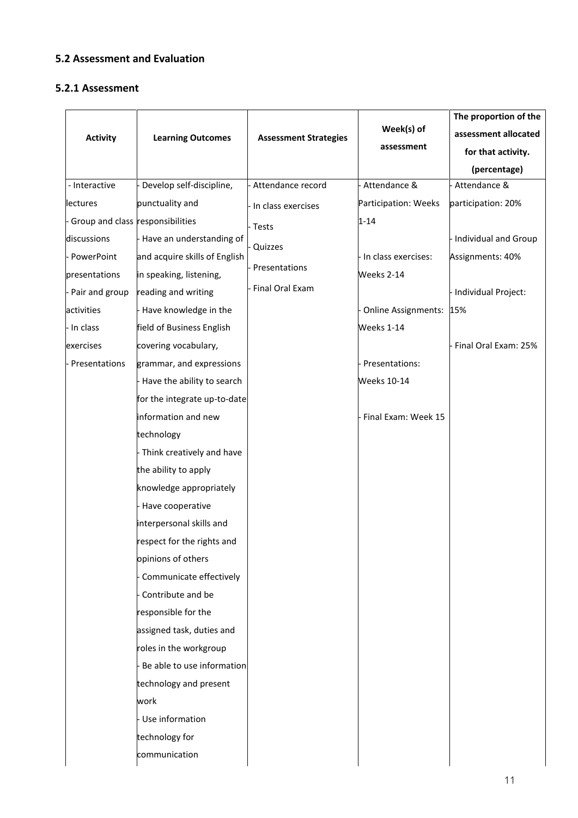# **5.2 Assessment and Evaluation**

#### **5.2.1 Assessment**

|                                    |                               |                              |                         | The proportion of the       |
|------------------------------------|-------------------------------|------------------------------|-------------------------|-----------------------------|
| <b>Activity</b>                    | <b>Learning Outcomes</b>      | <b>Assessment Strategies</b> | Week(s) of              | assessment allocated        |
|                                    |                               |                              | assessment              | for that activity.          |
|                                    |                               |                              |                         | (percentage)                |
| - Interactive                      | Develop self-discipline,      | Attendance record            | Attendance &            | Attendance &                |
| lectures                           | punctuality and               | In class exercises           | Participation: Weeks    | participation: 20%          |
| - Group and class responsibilities |                               | Tests                        | $1 - 14$                |                             |
| discussions                        | Have an understanding of      | Quizzes                      |                         | <b>Individual and Group</b> |
| PowerPoint                         | and acquire skills of English |                              | - In class exercises:   | Assignments: 40%            |
| presentations                      | in speaking, listening,       | Presentations                | Weeks 2-14              |                             |
| - Pair and group                   | reading and writing           | Final Oral Exam              |                         | Individual Project:         |
| activities                         | Have knowledge in the         |                              | Online Assignments: 15% |                             |
| - In class                         | field of Business English     |                              | Weeks 1-14              |                             |
| exercises                          | covering vocabulary,          |                              |                         | Final Oral Exam: 25%        |
| - Presentations                    | grammar, and expressions      |                              | - Presentations:        |                             |
|                                    | Have the ability to search    |                              | <b>Weeks 10-14</b>      |                             |
|                                    | for the integrate up-to-date  |                              |                         |                             |
|                                    | information and new           |                              | - Final Exam: Week 15   |                             |
|                                    | technology                    |                              |                         |                             |
|                                    | Think creatively and have     |                              |                         |                             |
|                                    | the ability to apply          |                              |                         |                             |
|                                    | knowledge appropriately       |                              |                         |                             |
|                                    | Have cooperative              |                              |                         |                             |
|                                    | interpersonal skills and      |                              |                         |                             |
|                                    | respect for the rights and    |                              |                         |                             |
|                                    | opinions of others            |                              |                         |                             |
|                                    | Communicate effectively       |                              |                         |                             |
|                                    | Contribute and be             |                              |                         |                             |
|                                    | responsible for the           |                              |                         |                             |
|                                    | assigned task, duties and     |                              |                         |                             |
|                                    | roles in the workgroup        |                              |                         |                             |
|                                    | Be able to use information    |                              |                         |                             |
|                                    | technology and present        |                              |                         |                             |
|                                    | work                          |                              |                         |                             |
|                                    | Use information               |                              |                         |                             |
|                                    | technology for                |                              |                         |                             |
|                                    | communication                 |                              |                         |                             |
|                                    |                               |                              |                         |                             |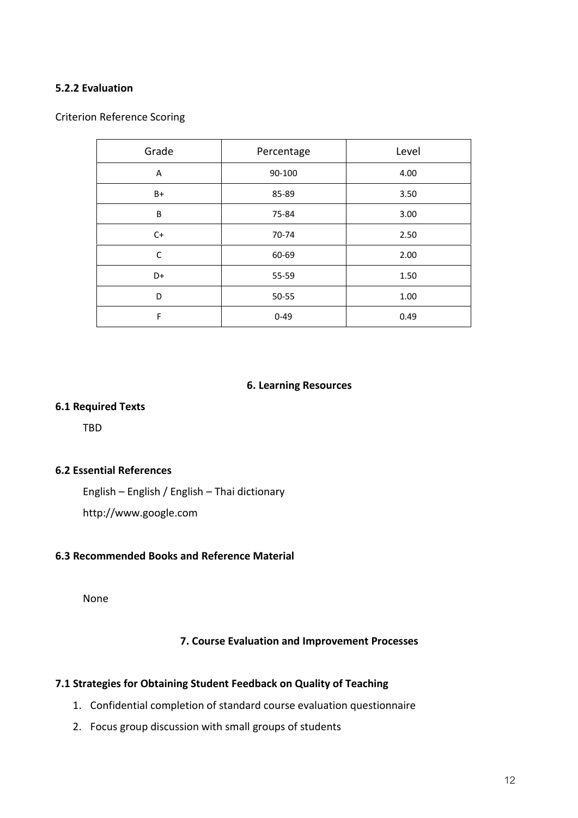# **5.2.2 Evaluation**

#### Criterion Reference Scoring

| Grade | Percentage | Level |
|-------|------------|-------|
| Α     | 90-100     | 4.00  |
| B+    | 85-89      | 3.50  |
| B     | 75-84      | 3.00  |
| $C+$  | 70-74      | 2.50  |
| C     | 60-69      | 2.00  |
| D+    | 55-59      | 1.50  |
| D     | 50-55      | 1.00  |
| F     | $0 - 49$   | 0.49  |

#### **6. Learning Resources**

#### **6.1 Required Texts**

TBD

#### **6.2 Essential References**

English – English / English – Thai dictionary

http://www.google.com

### **6.3 Recommended Books and Reference Material**

None

#### **7. Course Evaluation and Improvement Processes**

#### **7.1 Strategies for Obtaining Student Feedback on Quality of Teaching**

- 1. Confidential completion of standard course evaluation questionnaire
- 2. Focus group discussion with small groups of students